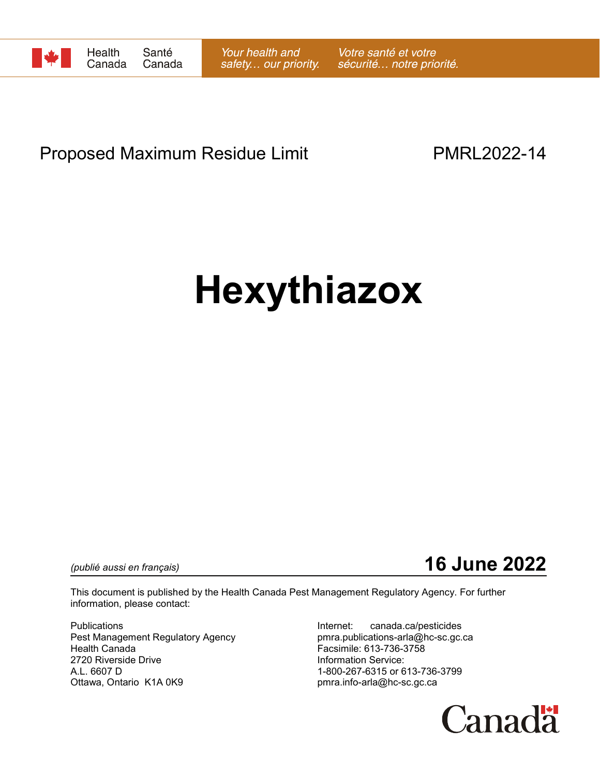

# Proposed Maximum Residue Limit **PMRL2022-14**

# **Hexythiazox**

*(publié aussi en français)* **16 June 2022**

This document is published by the Health Canada Pest Management Regulatory Agency. For further information, please contact:

Pest Management Regulatory Agency example pmra.publications-arla@hc-sc.gc.ca Health Canada Facsimile: 613-736-3758 2720 Riverside Drive **Information Service:** A.L. 6607 D 1-800-267-6315 or 613-736-3799 Ottawa, Ontario K1A 0K9 **pmra.info-arla@hc-sc.gc.ca** 

Publications **Internet:** canada.ca/pesticides

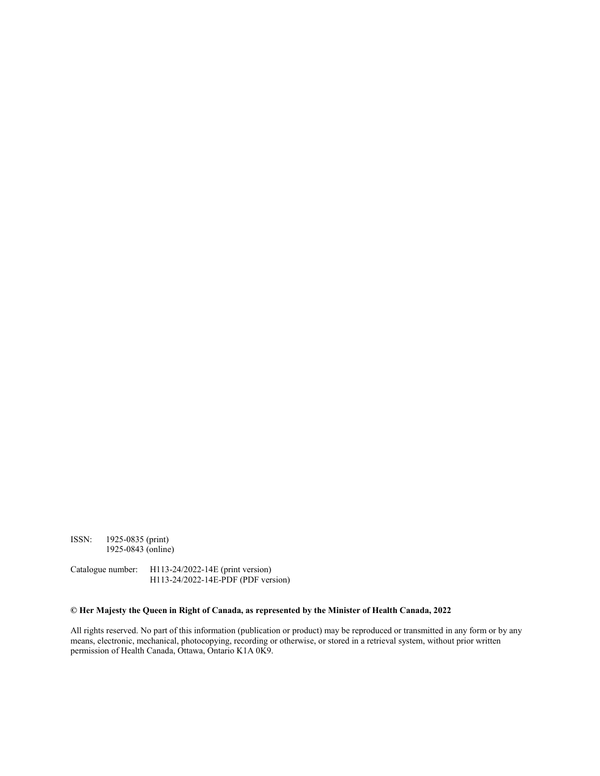ISSN: 1925-0835 (print) 1925-0843 (online)

Catalogue number: H113-24/2022-14E (print version) H113-24/2022-14E-PDF (PDF version)

#### **© Her Majesty the Queen in Right of Canada, as represented by the Minister of Health Canada, 2022**

All rights reserved. No part of this information (publication or product) may be reproduced or transmitted in any form or by any means, electronic, mechanical, photocopying, recording or otherwise, or stored in a retrieval system, without prior written permission of Health Canada, Ottawa, Ontario K1A 0K9.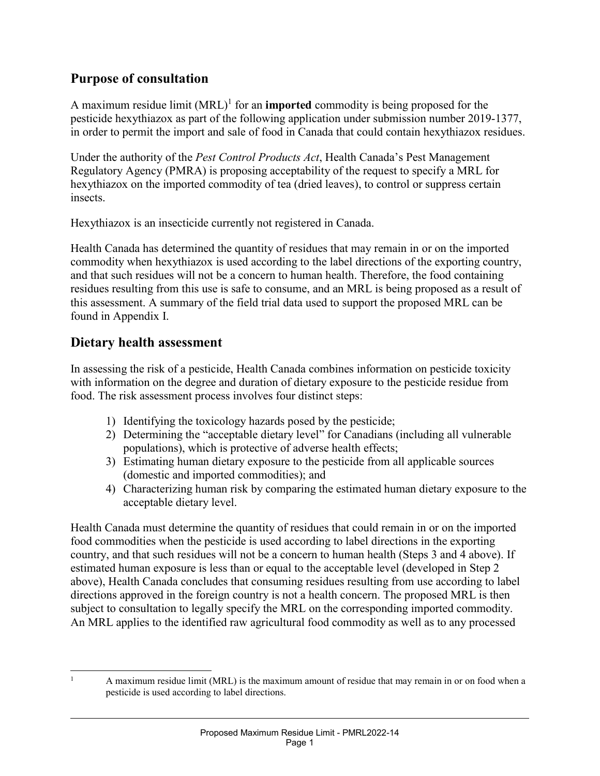#### **Purpose of consultation**

A maximum residue limit  $(MRL)^1$  for an **imported** commodity is being proposed for the pesticide hexythiazox as part of the following application under submission number 2019-1377, in order to permit the import and sale of food in Canada that could contain hexythiazox residues.

Under the authority of the *Pest Control Products Act*, Health Canada's Pest Management Regulatory Agency (PMRA) is proposing acceptability of the request to specify a MRL for hexythiazox on the imported commodity of tea (dried leaves), to control or suppress certain insects.

Hexythiazox is an insecticide currently not registered in Canada.

Health Canada has determined the quantity of residues that may remain in or on the imported commodity when hexythiazox is used according to the label directions of the exporting country, and that such residues will not be a concern to human health. Therefore, the food containing residues resulting from this use is safe to consume, and an MRL is being proposed as a result of this assessment. A summary of the field trial data used to support the proposed MRL can be found in Appendix I.

#### **Dietary health assessment**

In assessing the risk of a pesticide, Health Canada combines information on pesticide toxicity with information on the degree and duration of dietary exposure to the pesticide residue from food. The risk assessment process involves four distinct steps:

- 1) Identifying the toxicology hazards posed by the pesticide;
- 2) Determining the "acceptable dietary level" for Canadians (including all vulnerable populations), which is protective of adverse health effects;
- 3) Estimating human dietary exposure to the pesticide from all applicable sources (domestic and imported commodities); and
- 4) Characterizing human risk by comparing the estimated human dietary exposure to the acceptable dietary level.

Health Canada must determine the quantity of residues that could remain in or on the imported food commodities when the pesticide is used according to label directions in the exporting country, and that such residues will not be a concern to human health (Steps 3 and 4 above). If estimated human exposure is less than or equal to the acceptable level (developed in Step 2 above), Health Canada concludes that consuming residues resulting from use according to label directions approved in the foreign country is not a health concern. The proposed MRL is then subject to consultation to legally specify the MRL on the corresponding imported commodity. An MRL applies to the identified raw agricultural food commodity as well as to any processed

 <sup>1</sup> A maximum residue limit (MRL) is the maximum amount of residue that may remain in or on food when a pesticide is used according to label directions.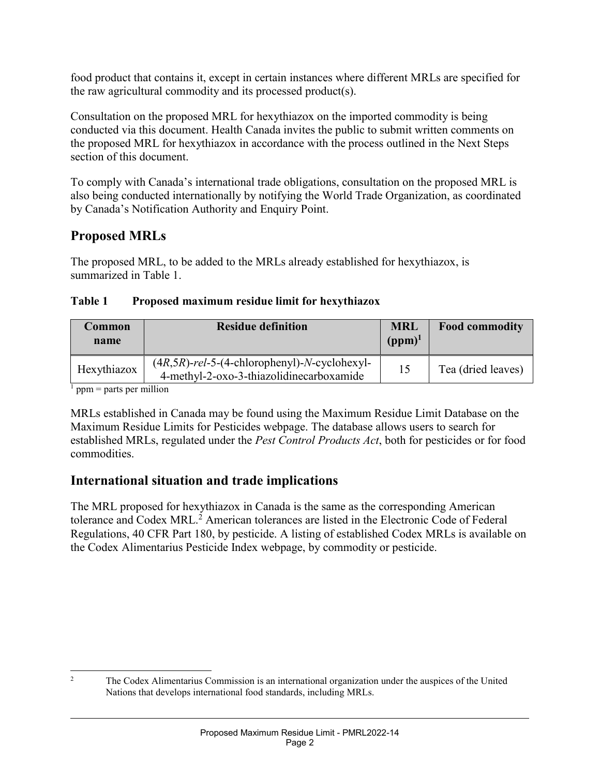food product that contains it, except in certain instances where different MRLs are specified for the raw agricultural commodity and its processed product(s).

Consultation on the proposed MRL for hexythiazox on the imported commodity is being conducted via this document. Health Canada invites the public to submit written comments on the proposed MRL for hexythiazox in accordance with the process outlined in the Next Steps section of this document.

To comply with Canada's international trade obligations, consultation on the proposed MRL is also being conducted internationally by notifying the World Trade Organization, as coordinated by Canada's Notification Authority and Enquiry Point.

### **Proposed MRLs**

The proposed MRL, to be added to the MRLs already established for hexythiazox, is summarized in Table 1.

#### **Table 1 Proposed maximum residue limit for hexythiazox**

| Common<br>name | <b>Residue definition</b>                                                                    | <b>MRL</b><br>$(ppm)^1$ | <b>Food commodity</b> |
|----------------|----------------------------------------------------------------------------------------------|-------------------------|-----------------------|
| Hexythiazox    | $(4R, 5R)$ -rel-5-(4-chlorophenyl)-N-cyclohexyl-<br>4-methyl-2-oxo-3-thiazolidinecarboxamide | 15                      | Tea (dried leaves)    |

 $<sup>1</sup>$  ppm = parts per million</sup>

MRLs established in Canada may be found using the Maximum Residue Limit Database on the Maximum Residue Limits for Pesticides webpage. The database allows users to search for established MRLs, regulated under the *Pest Control Products Act*, both for pesticides or for food commodities.

#### **International situation and trade implications**

The MRL proposed for hexythiazox in Canada is the same as the corresponding American tolerance and Codex MRL. <sup>2</sup> American tolerances are listed in the Electronic Code of Federal Regulations, 40 CFR Part 180, by pesticide. A listing of established Codex MRLs is available on the Codex Alimentarius Pesticide Index webpage, by commodity or pesticide.

<sup>&</sup>lt;sup>2</sup> The Codex Alimentarius Commission is an international organization under the auspices of the United Nations that develops international food standards, including MRLs.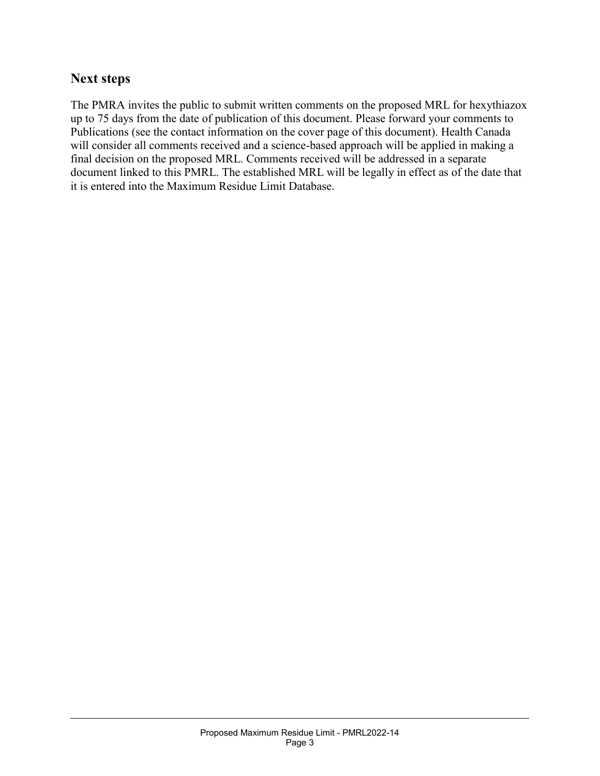#### **Next steps**

The PMRA invites the public to submit written comments on the proposed MRL for hexythiazox up to 75 days from the date of publication of this document. Please forward your comments to Publications (see the contact information on the cover page of this document). Health Canada will consider all comments received and a science-based approach will be applied in making a final decision on the proposed MRL. Comments received will be addressed in a separate document linked to this PMRL. The established MRL will be legally in effect as of the date that it is entered into the Maximum Residue Limit Database.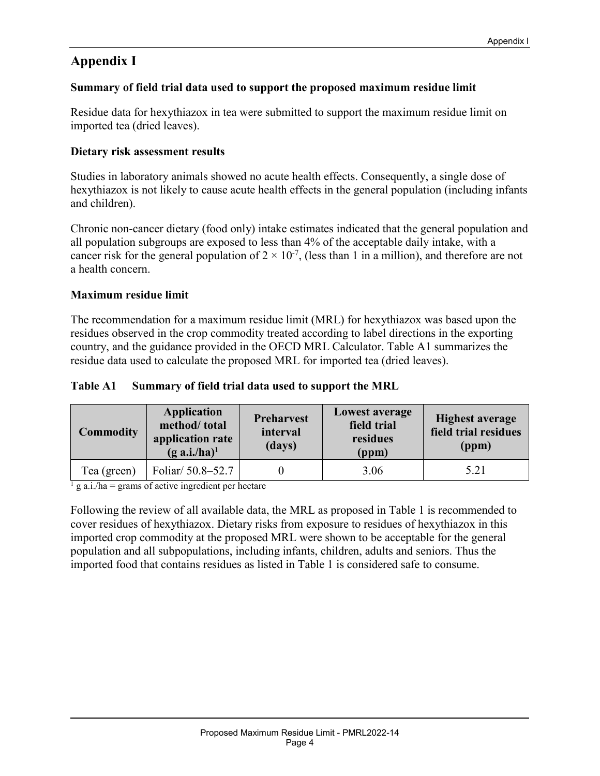## **Appendix I**

#### **Summary of field trial data used to support the proposed maximum residue limit**

Residue data for hexythiazox in tea were submitted to support the maximum residue limit on imported tea (dried leaves).

#### **Dietary risk assessment results**

Studies in laboratory animals showed no acute health effects. Consequently, a single dose of hexythiazox is not likely to cause acute health effects in the general population (including infants and children).

Chronic non-cancer dietary (food only) intake estimates indicated that the general population and all population subgroups are exposed to less than 4% of the acceptable daily intake, with a cancer risk for the general population of  $2 \times 10^{-7}$ , (less than 1 in a million), and therefore are not a health concern.

#### **Maximum residue limit**

The recommendation for a maximum residue limit (MRL) for hexythiazox was based upon the residues observed in the crop commodity treated according to label directions in the exporting country, and the guidance provided in the OECD MRL Calculator. Table A1 summarizes the residue data used to calculate the proposed MRL for imported tea (dried leaves).

#### **Table A1 Summary of field trial data used to support the MRL**

| <b>Commodity</b> | <b>Application</b><br>method/total<br>application rate<br>$(g \nabla a.i/ha)^1$ | <b>Preharvest</b><br>interval<br>(days) | <b>Lowest average</b><br>field trial<br>residues<br>(ppm) | <b>Highest average</b><br>field trial residues<br>(ppm) |
|------------------|---------------------------------------------------------------------------------|-----------------------------------------|-----------------------------------------------------------|---------------------------------------------------------|
| Tea (green)      | Foliar/ 50.8-52.7                                                               |                                         | 3.06                                                      | 5.21                                                    |

 $\frac{1}{2}$  g a.i./ha = grams of active ingredient per hectare

Following the review of all available data, the MRL as proposed in Table 1 is recommended to cover residues of hexythiazox. Dietary risks from exposure to residues of hexythiazox in this imported crop commodity at the proposed MRL were shown to be acceptable for the general population and all subpopulations, including infants, children, adults and seniors. Thus the imported food that contains residues as listed in Table 1 is considered safe to consume.